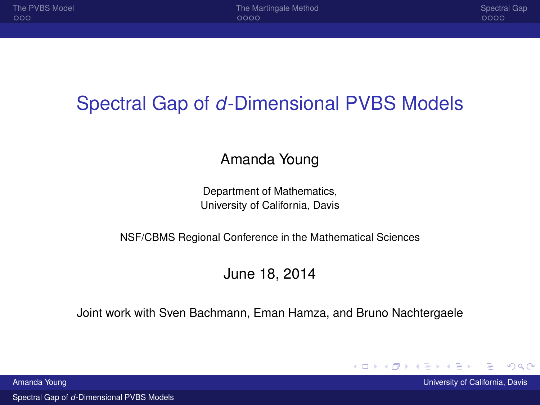# <span id="page-0-0"></span>Spectral Gap of *d*-Dimensional PVBS Models

#### Amanda Young

Department of Mathematics, University of California, Davis

NSF/CBMS Regional Conference in the Mathematical Sciences

#### June 18, 2014

Joint work with Sven Bachmann, Eman Hamza, and Bruno Nachtergaele

Spectral Gap of *d*[-Dimensional PVBS Models](#page-11-0)

Amanda Young University of California, Davis

 $2Q$ 

メロトメ 倒 トメ ミトメ ミ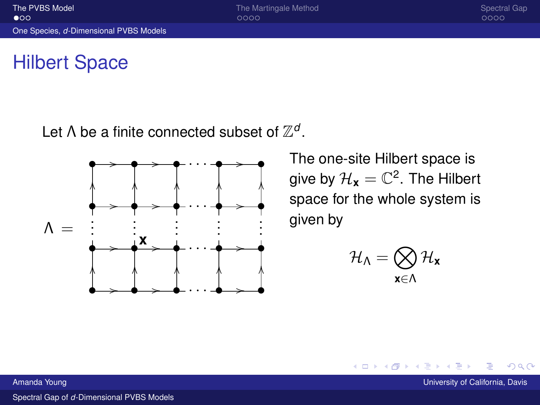# <span id="page-1-0"></span>Hilbert Space

Let  $\Lambda$  be a finite connected subset of  $\mathbb{Z}^d$ .



The one-site Hilbert space is give by  $\mathcal{H}_{\mathbf{x}}=\mathbb{C}^2.$  The Hilbert space for the whole system is given by

$$
\mathcal{H}_\Lambda=\bigotimes_{\mathbf{x}\in\Lambda}\mathcal{H}_\mathbf{x}
$$

**K ロ ▶ K 伊 ▶ K** 

Amanda Young University of California, Davis California, Davis California, Davis California, Davis California, Davis

 $2Q$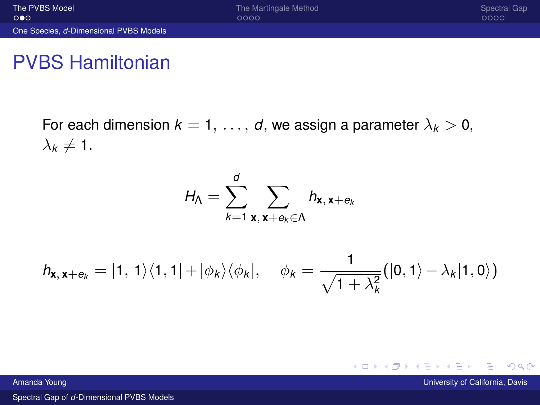# <span id="page-2-0"></span>PVBS Hamiltonian

For each dimension  $k = 1, \ldots, d$ , we assign a parameter  $\lambda_k > 0$ ,  $\lambda_k \neq 1$ .

$$
H_{\Lambda} = \sum_{k=1}^{d} \sum_{\mathbf{x}, \mathbf{x} + \mathbf{e}_k \in \Lambda} h_{\mathbf{x}, \mathbf{x} + \mathbf{e}_k}
$$

$$
h_{\mathbf{x},\mathbf{x}+\mathbf{e}_k} = |1,1\rangle\langle1,1|+|\phi_k\rangle\langle\phi_k|, \quad \phi_k = \frac{1}{\sqrt{1+\lambda_k^2}}(|0,1\rangle-\lambda_k|1,0\rangle)
$$

Amanda Young University of California, Davis California, Davis California, Davis California, Davis California, Davis

 $2Q$ 

**K ロ ▶ K 御 ▶ K 唐 ▶ K 唐 ▶**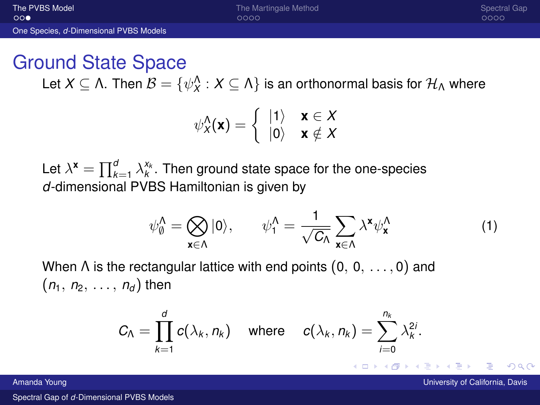$0000$ 

 $0000$ 

#### <span id="page-3-0"></span>Ground State Space

Let  $X\subseteq \Lambda$ . Then  $\mathcal{B}=\{\psi_X^\Lambda: X\subseteq \Lambda\}$  is an orthonormal basis for  $\mathcal{H}_\Lambda$  where

$$
\psi_{X}^{\Lambda}(\mathbf{x}) = \begin{cases} |1\rangle & \mathbf{x} \in X \\ |0\rangle & \mathbf{x} \notin X \end{cases}
$$

Let  $\lambda^{\mathbf{x}} = \prod_{k=1}^{d} \lambda_k^{x_k}$ . Then ground state space for the one-species *d*-dimensional PVBS Hamiltonian is given by

$$
\psi_0^{\Lambda} = \bigotimes_{\mathbf{x} \in \Lambda} |0\rangle, \qquad \psi_1^{\Lambda} = \frac{1}{\sqrt{C_{\Lambda}}} \sum_{\mathbf{x} \in \Lambda} \lambda^{\mathbf{x}} \psi_{\mathbf{x}}^{\Lambda} \tag{1}
$$

When  $\Lambda$  is the rectangular lattice with end points  $(0, 0, \ldots, 0)$  and  $(n_1, n_2, \ldots, n_d)$  then

$$
C_{\Lambda} = \prod_{k=1}^d c(\lambda_k, n_k) \quad \text{where} \quad c(\lambda_k, n_k) = \sum_{i=0}^{n_k} \lambda_k^{2i}.
$$

Amanda Young University of California, Davis

つひひ

メロトメ 倒 トメ ミトメ ミ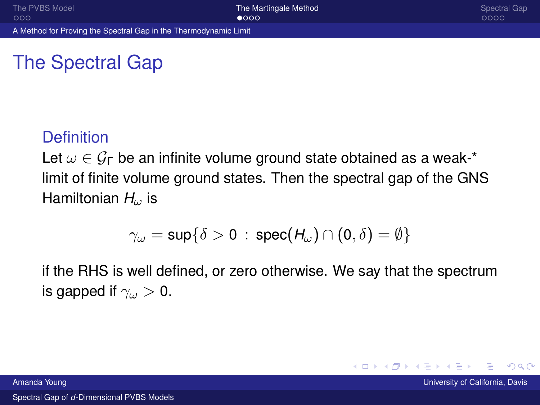$\Omega$ 

## <span id="page-4-0"></span>The Spectral Gap

#### **Definition**

Let  $\omega \in \mathcal{G}_{\Gamma}$  be an infinite volume ground state obtained as a weak-\* limit of finite volume ground states. Then the spectral gap of the GNS Hamiltonian *H*<sub>ω</sub> is

$$
\gamma_\omega=\sup\{\delta>0\,:\,{\sf spec}(H_\omega)\cap(0,\delta)=\emptyset\}
$$

if the RHS is well defined, or zero otherwise. We say that the spectrum is gapped if  $\gamma_\omega > 0$ .

イロト イ母 トイヨ トイヨ

Amanda Young University of California, Davis University of California, Davis University of California, Davis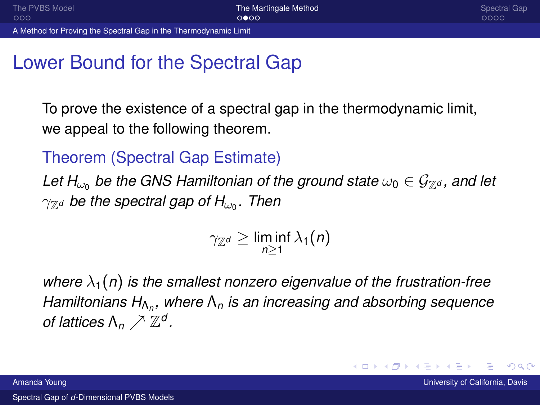## <span id="page-5-0"></span>Lower Bound for the Spectral Gap

To prove the existence of a spectral gap in the thermodynamic limit, we appeal to the following theorem.

Theorem (Spectral Gap Estimate)

*Let H<sub>ω0</sub> be the GNS Hamiltonian of the ground state*  $\omega_0 \in \mathcal{G}_{\mathbb{Z}^d}$ , and let  $\gamma_{\mathbb{Z}^d}$  be the spectral gap of  $H_{\omega_0}.$  Then

 $\gamma_{\mathbb{Z}^d}\geq \liminf_{n\geq 1}\lambda_1(n)$ 

*where*  $\lambda_1(n)$  *is the smallest nonzero eigenvalue of the frustration-free Hamiltonians H*Λ*<sup>n</sup> , where* Λ*<sup>n</sup> is an increasing and absorbing sequence of lattices*  $\Lambda_n \nearrow \mathbb{Z}^d$ .

 $\Omega$ 

イロト (個) イミトイモ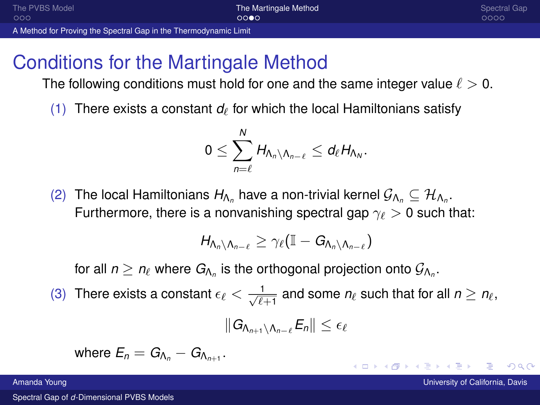<span id="page-6-0"></span>[The PVBS Model](#page-1-0) **[The Martingale Method](#page-4-0)** The Martingale Method [Spectral Gap](#page-8-0)  $000$  $0000$ [A Method for Proving the Spectral Gap in the Thermodynamic Limit](#page-6-0)

# Conditions for the Martingale Method

The following conditions must hold for one and the same integer value  $\ell > 0$ .

(1) There exists a constant  $d_{\ell}$  for which the local Hamiltonians satisfy

$$
0\leq \sum_{n=\ell}^N H_{\Lambda_n\setminus\Lambda_{n-\ell}}\leq d_\ell H_{\Lambda_N}.
$$

(2) The local Hamiltonians  $H_{\Lambda_n}$  have a non-trivial kernel  $\mathcal{G}_{\Lambda_n}\subseteq \mathcal{H}_{\Lambda_n}.$ Furthermore, there is a nonvanishing spectral gap  $\gamma_{\ell} > 0$  such that:

$$
H_{\Lambda_n\setminus\Lambda_{n-\ell}}\geq \gamma_\ell(\mathbb{I}-G_{\Lambda_n\setminus\Lambda_{n-\ell}})
$$

for all  $n\geq n_\ell$  where  $G_{\!{\Lambda_n}}$  is the orthogonal projection onto  $\mathcal{G}_{\Lambda_n}.$ 

(3) There exists a constant  $\epsilon_\ell < \frac{1}{\sqrt{\ell+1}}$  and some  $n_\ell$  such that for all  $n \geq n_\ell,$ 

$$
\|G_{\Lambda_{n+1}\setminus\Lambda_{n-\ell}}E_n\|\leq\epsilon_\ell
$$

 $\mathsf{where} \ \mathsf{E}_n = \mathsf{G}_{\mathsf{\Lambda}_n} - \mathsf{G}_{\mathsf{\Lambda}_{n+1}}.$ 

Spectral Gap of *d*[-Dimensional PVBS Models](#page-0-0)

**Amanda Young University of California, Davis California, Davis California, Davis California, Davis California, Davis** 

 $QQ$ 

 $4$  D  $\rightarrow$   $4$   $\overline{\theta}$   $\rightarrow$   $4$   $\overline{\theta}$   $\rightarrow$   $4$   $\overline{\theta}$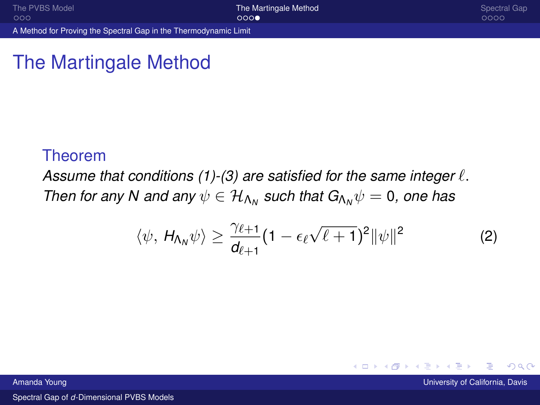<span id="page-7-0"></span>[A Method for Proving the Spectral Gap in the Thermodynamic Limit](#page-7-0)

## The Martingale Method

#### Theorem

Assume that conditions  $(1)-(3)$  are satisfied for the same integer  $\ell$ . *Then for any N and any*  $\psi \in \mathcal{H}_{\Lambda_N}$  *such that*  $G_{\Lambda_N}\psi = 0$ *, one has* 

$$
\langle \psi, H_{\Lambda_N} \psi \rangle \geq \frac{\gamma_{\ell+1}}{d_{\ell+1}} (1 - \epsilon_{\ell} \sqrt{\ell+1})^2 \|\psi\|^2 \qquad \qquad (2)
$$

Amanda Young University of California, Davis

 $2Q$ 

**K ロ ト K 伊 ト K ヨ ト**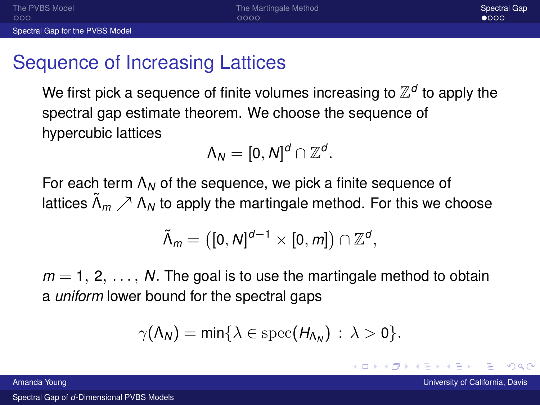<span id="page-8-0"></span>[The PVBS Model](#page-1-0) **[The Martingale Method](#page-4-0)** The Martingale Method [Spectral Gap](#page-8-0) Spectral Gap  $000C$ 

# Sequence of Increasing Lattices

We first pick a sequence of finite volumes increasing to  $\mathbb{Z}^d$  to apply the spectral gap estimate theorem. We choose the sequence of hypercubic lattices

$$
\Lambda_N=[0,N]^d\cap\mathbb{Z}^d.
$$

For each term Λ*<sup>N</sup>* of the sequence, we pick a finite sequence of lattices  $\tilde{\Lambda}_m \nearrow \Lambda_N$  to apply the martingale method. For this we choose

$$
\tilde{\Lambda}_m = ([0, N]^{d-1} \times [0, m]) \cap \mathbb{Z}^d,
$$

 $m = 1, 2, \ldots, N$ . The goal is to use the martingale method to obtain a *uniform* lower bound for the spectral gaps

$$
\gamma(\Lambda_N)=\min\{\lambda\in\mathrm{spec}(H_{\Lambda_N})\,:\,\lambda>0\}.
$$

つひひ

 $4$  ロ }  $4$   $dP$  }  $4$   $\geq$  }  $4$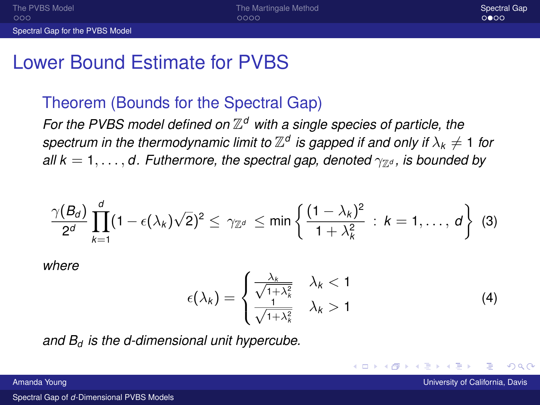#### <span id="page-9-0"></span>Lower Bound Estimate for PVBS

#### Theorem (Bounds for the Spectral Gap)

For the PVBS model defined on  $\mathbb{Z}^d$  with a single species of particle, the  $s$ pectrum in the thermodynamic limit to  $\mathbb{Z}^d$  is gapped if and only if  $\lambda_k \neq 1$  for *all*  $k = 1, \ldots, d$ . Futhermore, the spectral gap, denoted  $\gamma_{\mathbb{Z}^d}$ , is bounded by

$$
\frac{\gamma(B_d)}{2^d}\prod_{k=1}^d(1-\epsilon(\lambda_k)\sqrt{2})^2\leq \gamma_{\mathbb{Z}^d}\leq \min\left\{\frac{(1-\lambda_k)^2}{1+\lambda_k^2}\,:\,k=1,\ldots,\,d\right\}\,\,(3)
$$

*where*

$$
\epsilon(\lambda_k) = \begin{cases} \frac{\lambda_k}{\sqrt{1 + \lambda_k^2}} & \lambda_k < 1\\ \frac{1}{\sqrt{1 + \lambda_k^2}} & \lambda_k > 1 \end{cases} \tag{4}
$$

*and B<sup>d</sup> is the d-dimensional unit hypercube.*

つひひ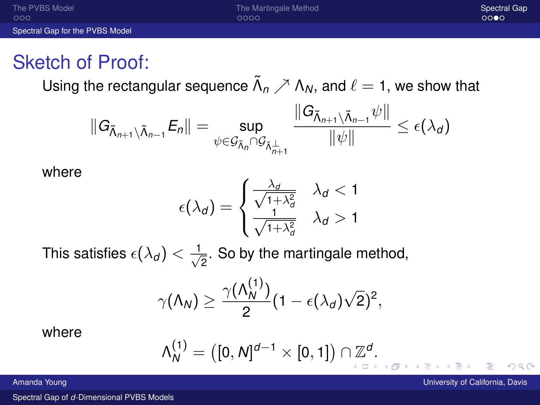<span id="page-10-0"></span>

| The PVBS Model                  | The Martingale Method | Spectral Gap |
|---------------------------------|-----------------------|--------------|
| 000                             | 0000                  | 0000         |
| Spectral Gap for the PVBS Model |                       |              |

#### Sketch of Proof:

Using the rectangular sequence  $\tilde{\Lambda}_n\nearrow\Lambda_N,$  and  $\ell=$  1, we show that

$$
||G_{\tilde{\Lambda}_{n+1}\setminus\tilde{\Lambda}_{n-1}}E_n||=\sup_{\psi\in\mathcal{G}_{\tilde{\Lambda}_n}\cap\mathcal{G}_{\tilde{\Lambda}_{n+1}^{\perp}}}\frac{||G_{\tilde{\Lambda}_{n+1}\setminus\tilde{\Lambda}_{n-1}}\psi||}{||\psi||}\leq\epsilon(\lambda_d)
$$

where

$$
\epsilon(\lambda_d) = \begin{cases} \frac{\lambda_d}{\sqrt{1+\lambda_d^2}} & \lambda_d < 1\\ \frac{1}{\sqrt{1+\lambda_d^2}} & \lambda_d > 1 \end{cases}
$$

This satisfies  $\epsilon(\lambda_d)<\frac{1}{\sqrt{2}}$  $_{\overline{2}}$ . So by the martingale method,

$$
\gamma(\Lambda_N)\geq \frac{\gamma(\Lambda_N^{(1)})}{2}(1-\epsilon(\lambda_d)\sqrt{2})^2,
$$

where

$$
\Lambda_N^{(1)} = ([0, N]^{d-1} \times [0, 1]) \cap \mathbb{Z}^d.
$$

Amanda Young University of California, Davis University of California, Davis University of California, Davis

 $\Omega$